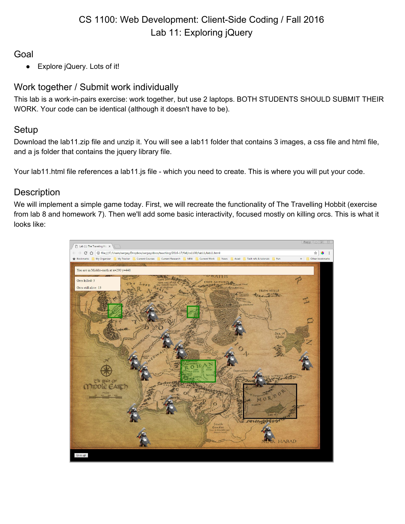## Goal

● Explore jQuery. Lots of it!

# Work together / Submit work individually

This lab is a work-in-pairs exercise: work together, but use 2 laptops. BOTH STUDENTS SHOULD SUBMIT THEIR WORK. Your code can be identical (although it doesn't have to be).

# Setup

Download the lab11.zip file and unzip it. You will see a lab11 folder that contains 3 images, a css file and html file, and a js folder that contains the jquery library file.

Your lab11.html file references a lab11.js file - which you need to create. This is where you will put your code.

# **Description**

We will implement a simple game today. First, we will recreate the functionality of The Travelling Hobbit (exercise from lab 8 and homework 7). Then we'll add some basic interactivity, focused mostly on killing orcs. This is what it looks like:

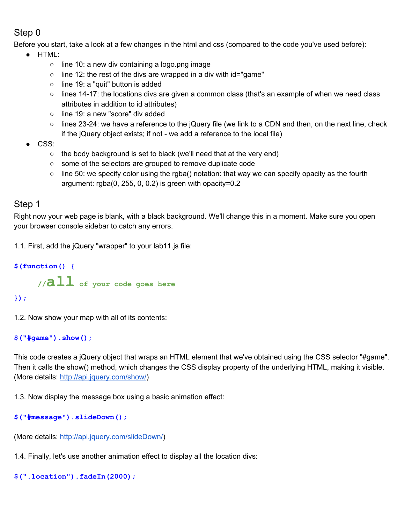# Step 0

Before you start, take a look at a few changes in the html and css (compared to the code you've used before):

- HTML:
	- line 10: a new div containing a logo.png image
	- $\circ$  line 12: the rest of the divs are wrapped in a div with id="game"
	- line 19: a "quit" button is added
	- lines 14-17: the locations divs are given a common class (that's an example of when we need class attributes in addition to id attributes)
	- line 19: a new "score" div added
	- o lines 23-24: we have a reference to the jQuery file (we link to a CDN and then, on the next line, check if the jQuery object exists; if not - we add a reference to the local file)
- CSS:
	- the body background is set to black (we'll need that at the very end)
	- some of the selectors are grouped to remove duplicate code
	- $\circ$  line 50: we specify color using the rgba() notation: that way we can specify opacity as the fourth argument: rgba(0, 255, 0, 0.2) is green with opacity=0.2

### Step 1

Right now your web page is blank, with a black background. We'll change this in a moment. Make sure you open your browser console sidebar to catch any errors.

1.1. First, add the jQuery "wrapper" to your lab11.js file:

**\$(function() { //all of your code goes here**

### **});**

1.2. Now show your map with all of its contents:

**\$("#game").show();**

This code creates a jQuery object that wraps an HTML element that we've obtained using the CSS selector "#game". Then it calls the show() method, which changes the CSS display property of the underlying HTML, making it visible. (More details: [http://api.jquery.com/show/\)](http://api.jquery.com/show/)

1.3. Now display the message box using a basic animation effect:

```
$("#message").slideDown();
```
(More details: [http://api.jquery.com/slideDown/\)](http://api.jquery.com/slideDown/)

1.4. Finally, let's use another animation effect to display all the location divs:

```
$(".location").fadeIn(2000);
```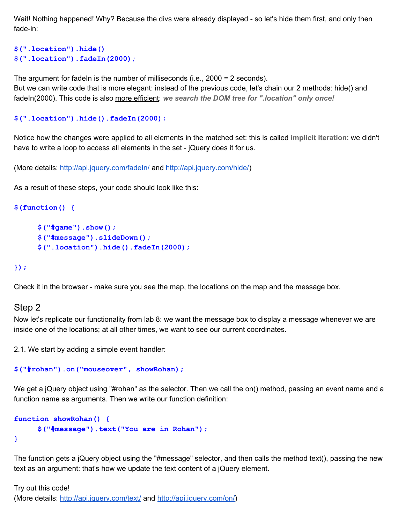Wait! Nothing happened! Why? Because the divs were already displayed - so let's hide them first, and only then fade-in:

```
$(".location").hide()
$(".location").fadeIn(2000);
```
The argument for fadeIn is the number of milliseconds (i.e.,  $2000 = 2$  seconds). But we can write code that is more elegant: instead of the previous code, let's chain our 2 methods: hide() and fadeIn(2000). This code is also more efficient: *we search the DOM tree for ".location" only once!*

```
$(".location").hide().fadeIn(2000);
```
Notice how the changes were applied to all elements in the matched set: this is called **implicit iteration**: we didn't have to write a loop to access all elements in the set - jQuery does it for us.

(More details:<http://api.jquery.com/fadeIn/> and [http://api.jquery.com/hide/\)](http://api.jquery.com/hide/)

As a result of these steps, your code should look like this:

```
$(function() {
```

```
$("#game").show();
$("#message").slideDown();
$(".location").hide().fadeIn(2000);
```
#### **});**

Check it in the browser - make sure you see the map, the locations on the map and the message box.

#### Step 2

Now let's replicate our functionality from lab 8: we want the message box to display a message whenever we are inside one of the locations; at all other times, we want to see our current coordinates.

2.1. We start by adding a simple event handler:

```
$("#rohan").on("mouseover", showRohan);
```
We get a jQuery object using "#rohan" as the selector. Then we call the on() method, passing an event name and a function name as arguments. Then we write our function definition:

```
function showRohan() {
     $("#message").text("You are in Rohan");
}
```
The function gets a jQuery object using the "#message" selector, and then calls the method text(), passing the new text as an argument: that's how we update the text content of a jQuery element.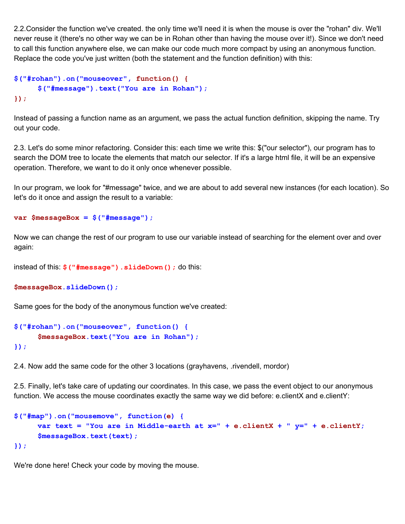2.2.Consider the function we've created. the only time we'll need it is when the mouse is over the "rohan" div. We'll never reuse it (there's no other way we can be in Rohan other than having the mouse over it!). Since we don't need to call this function anywhere else, we can make our code much more compact by using an anonymous function. Replace the code you've just written (both the statement and the function definition) with this:

```
$("#rohan").on("mouseover", function() {
     $("#message").text("You are in Rohan");
});
```
Instead of passing a function name as an argument, we pass the actual function definition, skipping the name. Try out your code.

2.3. Let's do some minor refactoring. Consider this: each time we write this: \$("our selector"), our program has to search the DOM tree to locate the elements that match our selector. If it's a large html file, it will be an expensive operation. Therefore, we want to do it only once whenever possible.

In our program, we look for "#message" twice, and we are about to add several new instances (for each location). So let's do it once and assign the result to a variable:

```
var $messageBox = $("#message");
```
Now we can change the rest of our program to use our variable instead of searching for the element over and over again:

```
instead of this: $("#message").slideDown(); do this:
```

```
$messageBox.slideDown();
```
Same goes for the body of the anonymous function we've created:

```
$("#rohan").on("mouseover", function() {
     $messageBox.text("You are in Rohan");
});
```
2.4. Now add the same code for the other 3 locations (grayhavens, .rivendell, mordor)

2.5. Finally, let's take care of updating our coordinates. In this case, we pass the event object to our anonymous function. We access the mouse coordinates exactly the same way we did before: e.clientX and e.clientY:

```
$("#map").on("mousemove", function(e) {
     var text = "You are in Middle-earth at x=" + e.clientX + " y=" + e.clientY;
     $messageBox.text(text);
});
```
We're done here! Check your code by moving the mouse.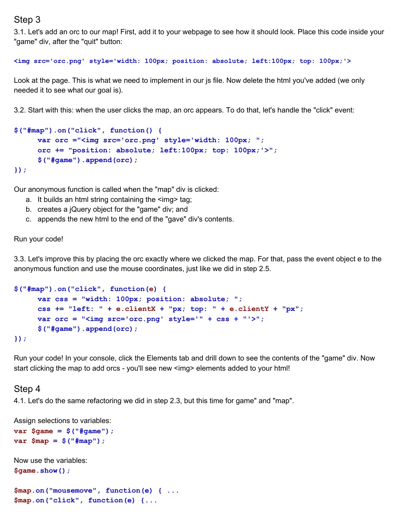### Step 3

3.1. Let's add an orc to our map! First, add it to your webpage to see how it should look. Place this code inside your "game" div, after the "quit" button:

**<img src='orc.png' style='width: 100px; position: absolute; left:100px; top: 100px;'>**

Look at the page. This is what we need to implement in our js file. Now delete the html you've added (we only needed it to see what our goal is).

3.2. Start with this: when the user clicks the map, an orc appears. To do that, let's handle the "click" event:

```
$("#map").on("click", function() {
     var orc ="<img src='orc.png' style='width: 100px; ";
     orc += "position: absolute; left:100px; top: 100px;'>";
     $("#game").append(orc);
});
```
Our anonymous function is called when the "map" div is clicked:

- a. It builds an html string containing the  $\leq$ img> tag;
- b. creates a jQuery object for the "game" div; and
- c. appends the new html to the end of the "gave" div's contents.

#### Run your code!

3.3. Let's improve this by placing the orc exactly where we clicked the map. For that, pass the event object e to the anonymous function and use the mouse coordinates, just like we did in step 2.5.

```
$("#map").on("click", function(e) {
     var css = "width: 100px; position: absolute; ";
     css += "left: " + e.clientX + "px; top: " + e.clientY + "px";
     var orc = "<img src='orc.png' style='" + css + "'>";
     $("#game").append(orc);
});
```
Run your code! In your console, click the Elements tab and drill down to see the contents of the "game" div. Now start clicking the map to add orcs - you'll see new <img> elements added to your html!

#### Step 4

4.1. Let's do the same refactoring we did in step 2.3, but this time for game" and "map".

Assign selections to variables:

```
var $game = $("#game");
var $map = $("#map");
```

```
Now use the variables:
$game.show();
```

```
$map.on("mousemove", function(e) { ...
$map.on("click", function(e) {...
```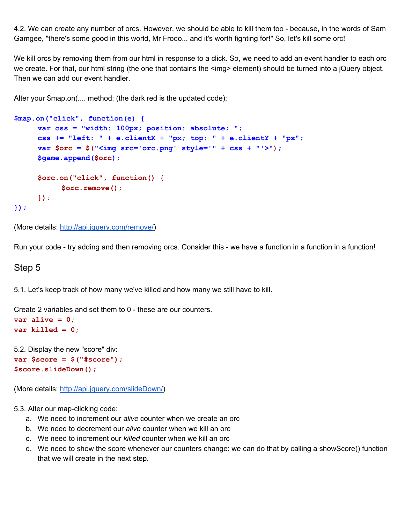4.2. We can create any number of orcs. However, we should be able to kill them too - because, in the words of Sam Gamgee, "there's some good in this world, Mr Frodo... and it's worth fighting for!" So, let's kill some orc!

We kill orcs by removing them from our html in response to a click. So, we need to add an event handler to each orc we create. For that, our html string (the one that contains the <img> element) should be turned into a jQuery object. Then we can add our event handler.

Alter your \$map.on(.... method: (the dark red is the updated code);

```
$map.on("click", function(e) {
     var css = "width: 100px; position: absolute; ";
     css += "left: " + e.clientX + "px; top: " + e.clientY + "px";
     var $orc = $("<img src='orc.png' style='" + css + "'>");
     $game.append($orc);
     $orc.on("click", function() {
          $orc.remove();
     });
});
```
(More details: [http://api.jquery.com/remove/\)](http://api.jquery.com/remove/)

Run your code - try adding and then removing orcs. Consider this - we have a function in a function in a function!

#### Step 5

5.1. Let's keep track of how many we've killed and how many we still have to kill.

Create 2 variables and set them to 0 - these are our counters.

```
var alive = 0;
var killed = 0;
```
5.2. Display the new "score" div: **var \$score = \$("#score"); \$score.slideDown();**

(More details: [http://api.jquery.com/slideDown/\)](http://api.jquery.com/slideDown/)

5.3. Alter our map-clicking code:

- a. We need to increment our *alive* counter when we create an orc
- b. We need to decrement our *alive* counter when we kill an orc
- c. We need to increment our *killed* counter when we kill an orc
- d. We need to show the score whenever our counters change: we can do that by calling a showScore() function that we will create in the next step.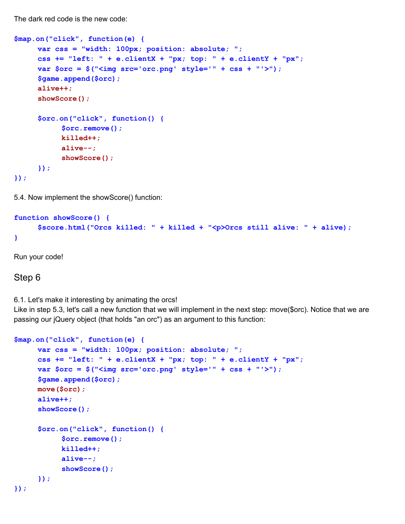The dark red code is the new code:

```
$map.on("click", function(e) {
     var css = "width: 100px; position: absolute; ";
     css += "left: " + e.clientX + "px; top: " + e.clientY + "px";
     var $orc = $("<img src='orc.png' style='" + css + "'>");
     $game.append($orc);
     alive++;
     showScore();
     $orc.on("click", function() {
           $orc.remove();
           killed++;
           alive--;
           showScore();
     });
});
```
5.4. Now implement the showScore() function:

```
function showScore() {
     $score.html("Orcs killed: " + killed + "<p>Orcs still alive: " + alive);
}
```
Run your code!

### Step 6

6.1. Let's make it interesting by animating the orcs!

Like in step 5.3, let's call a new function that we will implement in the next step: move(\$orc). Notice that we are passing our jQuery object (that holds "an orc") as an argument to this function:

```
$map.on("click", function(e) {
     var css = "width: 100px; position: absolute; ";
     css += "left: " + e.clientX + "px; top: " + e.clientY + "px";
     var $orc = $("<img src='orc.png' style='" + css + "'>");
     $game.append($orc);
     move($orc);
     alive++;
     showScore();
     $orc.on("click", function() {
           $orc.remove();
           killed++;
           alive--;
           showScore();
     });
});
```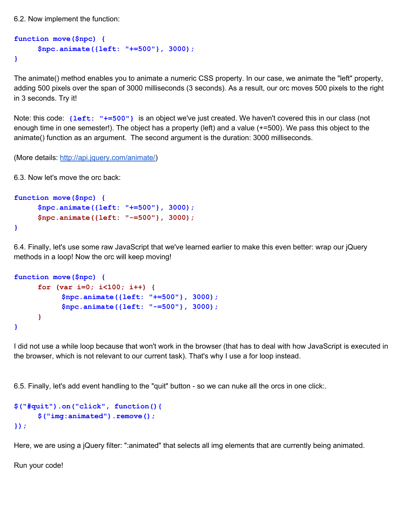6.2. Now implement the function:

```
function move($npc) {
     $npc.animate({left: "+=500"}, 3000);
}
```
The animate() method enables you to animate a numeric CSS property. In our case, we animate the "left" property, adding 500 pixels over the span of 3000 milliseconds (3 seconds). As a result, our orc moves 500 pixels to the right in 3 seconds. Try it!

Note: this code: **{left: "+=500"}** is an object we've just created. We haven't covered this in our class (not enough time in one semester!). The object has a property (left) and a value (+=500). We pass this object to the animate() function as an argument. The second argument is the duration: 3000 milliseconds.

(More details: [http://api.jquery.com/animate/\)](http://api.jquery.com/animate/)

6.3. Now let's move the orc back:

```
function move($npc) {
     $npc.animate({left: "+=500"}, 3000);
     $npc.animate({left: "-=500"}, 3000);
}
```
6.4. Finally, let's use some raw JavaScript that we've learned earlier to make this even better: wrap our jQuery methods in a loop! Now the orc will keep moving!

```
function move($npc) {
     for (var i=0; i<100; i++) {
           $npc.animate({left: "+=500"}, 3000);
           $npc.animate({left: "-=500"}, 3000);
     }
}
```
I did not use a while loop because that won't work in the browser (that has to deal with how JavaScript is executed in the browser, which is not relevant to our current task). That's why I use a for loop instead.

6.5. Finally, let's add event handling to the "quit" button - so we can nuke all the orcs in one click:.

```
$("#quit").on("click", function(){
     $("img:animated").remove();
});
```
Here, we are using a jQuery filter: ":animated" that selects all img elements that are currently being animated.

Run your code!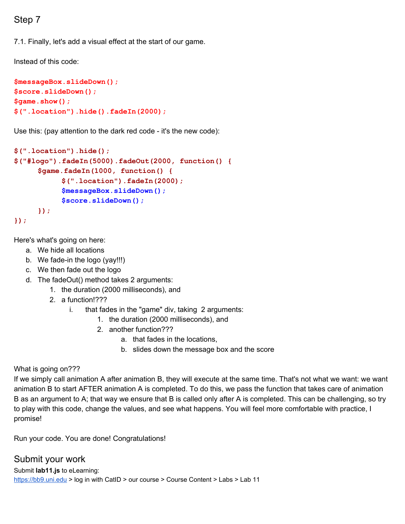# Step 7

7.1. Finally, let's add a visual effect at the start of our game.

Instead of this code:

```
$messageBox.slideDown();
$score.slideDown();
$game.show();
$(".location").hide().fadeIn(2000);
```
Use this: (pay attention to the dark red code - it's the new code):

```
$(".location").hide();
$("#logo").fadeIn(5000).fadeOut(2000, function() {
     $game.fadeIn(1000, function() {
           $(".location").fadeIn(2000);
           $messageBox.slideDown();
           $score.slideDown();
     });
});
```
Here's what's going on here:

- a. We hide all locations
- b. We fade-in the logo (yay!!!)
- c. We then fade out the logo
- d. The fadeOut() method takes 2 arguments:
	- 1. the duration (2000 milliseconds), and
	- 2. a function!???
		- i. that fades in the "game" div, taking 2 arguments:
			- 1. the duration (2000 milliseconds), and
			- 2. another function???
				- a. that fades in the locations,
				- b. slides down the message box and the score

#### What is going on???

If we simply call animation A after animation B, they will execute at the same time. That's not what we want: we want animation B to start AFTER animation A is completed. To do this, we pass the function that takes care of animation B as an argument to A; that way we ensure that B is called only after A is completed. This can be challenging, so try to play with this code, change the values, and see what happens. You will feel more comfortable with practice, I promise!

Run your code. You are done! Congratulations!

Submit your work Submit **lab11.js** to eLearning: [https://bb9.uni.edu](https://bb9.uni.edu/) > log in with CatID > our course > Course Content > Labs > Lab 11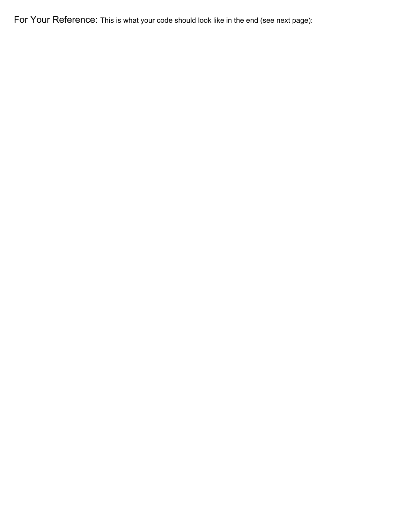For Your Reference: This is what your code should look like in the end (see next page):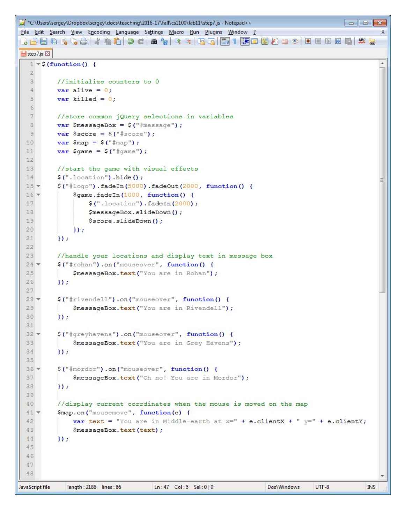```
*C:\Users\sergey\Dropbox\sergey\docs\teaching\2016-17\fall\cs1100\lab11\step7.js - Notepad++
                                                                                               \Box\BoxFile Edit Search View Encoding Language Settings Macro Run Plugins Window ?
                                                                                                          X
 . Bestalled Johnson Fired A Book B K &
Step7.js
   1 \times $ (function () {
                                                                                                          ۸
   \mathcal{D}//initialize counters to 0
   3
           var alive = 0;
   \overline{4}\overline{5}var killed = 0;6
   \overline{\tau}//store common jQuery selections in variables
   8
           var $messageBox = \frac{1}{2} ("#message");
   9
           var $score = $("#score");
  10
           var \text{Smap} = \text{S}(\text{mmap}^*);
  11
           var \text{Square} = \text{$('figure');}1213//start the game with visual effects
           $ (".location") . hide () ;14
  15 -$("#logo").fadeIn(5000).fadeOut(2000, function() {
 16.$game.fadeIn(1000, function() {
  17
                    $(".location").fadeIn(2000);
  1R
                    $messageBox.slideDown();
  19$score.slideDown();
  20
               \mathcal{Y}21\mathcal{H}22
  23
           //handle your locations and display text in message box
  24 -$("#rohan").on("mouseover", function() {
  25
               $messageBox.text("You are in Rohan");
  26
           \mathcal{E}27
  28 -$("#rivendell").on("mouseover", function() {
  29
               $messageBox.text("You are in Rivendell");
  30
           \mathcal{V}3132 -$("#greyhavens").on("mouseover", function() {
  33
               $messageBox.text("You are in Grey Havens");
  34
           \mathcal{V}35
           $("#mordor").on("mouseover", function() {
  36*37
               $messageBox.text("Oh no! You are in Mordor");
  38
           \};
  39
           //display current corrdinates when the mouse is moved on the map
  40
           $map.on("mousemove", function(e) {
  41 -42
               var text = "You are in Middle-earth at x = 4" + e.clientX + " y = 4" + e.clientY;
  43
               $messageBox.text(text);
  44
           \mathcal{V}45
  46
  47
  4Blength: 2186 lines: 86
                                       Ln:47 Col:5 Sel:0|0
                                                                         Dos\Windows
                                                                                       UTF-8INS
JavaScript file
```